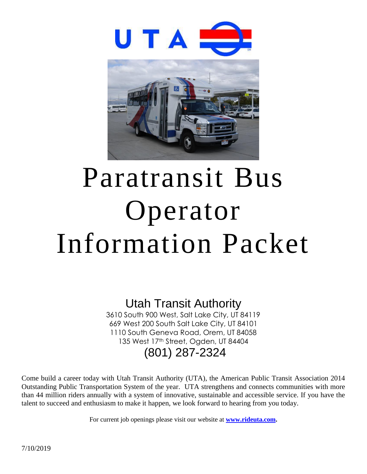

# Paratransit Bus Operator Information Packet

# Utah Transit Authority

3610 South 900 West, Salt Lake City, UT 84119 669 West 200 South Salt Lake City, UT 84101 1110 South Geneva Road, Orem, UT 84058 135 West 17th Street, Ogden, UT 84404 (801) 287-2324

Come build a career today with Utah Transit Authority (UTA), the American Public Transit Association 2014 Outstanding Public Transportation System of the year. UTA strengthens and connects communities with more than 44 million riders annually with a system of innovative, sustainable and accessible service. If you have the talent to succeed and enthusiasm to make it happen, we look forward to hearing from you today.

For current job openings please visit our website at **[www.rideuta.com.](http://www.rideuta.com/)**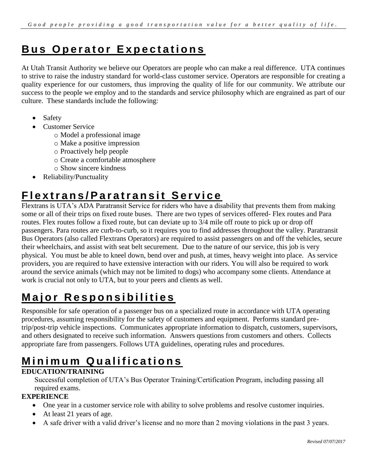#### **Bus Operator Expectations**

At Utah Transit Authority we believe our Operators are people who can make a real difference. UTA continues to strive to raise the industry standard for world-class customer service. Operators are responsible for creating a quality experience for our customers, thus improving the quality of life for our community. We attribute our success to the people we employ and to the standards and service philosophy which are engrained as part of our culture. These standards include the following:

- Safety
- Customer Service
	- o Model a professional image
	- o Make a positive impression
	- o Proactively help people
	- o Create a comfortable atmosphere
	- o Show sincere kindness
- Reliability/Punctuality

#### **F l e x t r a n s / P a r a t r a n s i t S e r v i c e**

Flextrans is UTA's ADA Paratransit Service for riders who have a disability that prevents them from making some or all of their trips on fixed route buses. There are two types of services offered- Flex routes and Para routes. Flex routes follow a fixed route, but can deviate up to 3/4 mile off route to pick up or drop off passengers. Para routes are curb-to-curb, so it requires you to find addresses throughout the valley. Paratransit Bus Operators (also called Flextrans Operators) are required to assist passengers on and off the vehicles, secure their wheelchairs, and assist with seat belt securement. Due to the nature of our service, this job is very physical. You must be able to kneel down, bend over and push, at times, heavy weight into place. As service providers, you are required to have extensive interaction with our riders. You will also be required to work around the service animals (which may not be limited to dogs) who accompany some clients. Attendance at work is crucial not only to UTA, but to your peers and clients as well.

# **Major Responsibilities**

Responsible for safe operation of a passenger bus on a specialized route in accordance with UTA operating procedures, assuming responsibility for the safety of customers and equipment. Performs standard pretrip/post-trip vehicle inspections. Communicates appropriate information to dispatch, customers, supervisors, and others designated to receive such information. Answers questions from customers and others. Collects appropriate fare from passengers. Follows UTA guidelines, operating rules and procedures.

# **M i n i m u m Q u a l i f i c a t i o n s**

#### **EDUCATION/TRAINING**

Successful completion of UTA's Bus Operator Training/Certification Program, including passing all required exams.

#### **EXPERIENCE**

- One year in a customer service role with ability to solve problems and resolve customer inquiries.
- At least 21 years of age.
- A safe driver with a valid driver's license and no more than 2 moving violations in the past 3 years.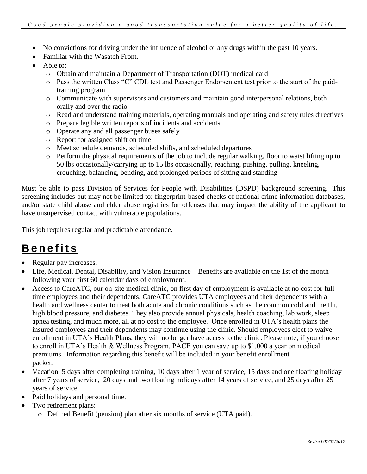- No convictions for driving under the influence of alcohol or any drugs within the past 10 years.
- Familiar with the Wasatch Front.
- Able to:
	- o Obtain and maintain a Department of Transportation (DOT) medical card
	- o Pass the written Class "C" CDL test and Passenger Endorsement test prior to the start of the paidtraining program.
	- o Communicate with supervisors and customers and maintain good interpersonal relations, both orally and over the radio
	- o Read and understand training materials, operating manuals and operating and safety rules directives
	- o Prepare legible written reports of incidents and accidents
	- o Operate any and all passenger buses safely
	- o Report for assigned shift on time
	- o Meet schedule demands, scheduled shifts, and scheduled departures
	- o Perform the physical requirements of the job to include regular walking, floor to waist lifting up to 50 lbs occasionally/carrying up to 15 lbs occasionally, reaching, pushing, pulling, kneeling, crouching, balancing, bending, and prolonged periods of sitting and standing

Must be able to pass Division of Services for People with Disabilities (DSPD) background screening. This screening includes but may not be limited to: fingerprint-based checks of national crime information databases, and/or state child abuse and elder abuse registries for offenses that may impact the ability of the applicant to have unsupervised contact with vulnerable populations.

This job requires regular and predictable attendance.

# **B e n e f i t s**

- Regular pay increases.
- Life, Medical, Dental, Disability, and Vision Insurance Benefits are available on the 1st of the month following your first 60 calendar days of employment.
- Access to CareATC, our on-site medical clinic, on first day of employment is available at no cost for fulltime employees and their dependents. CareATC provides UTA employees and their dependents with a health and wellness center to treat both acute and chronic conditions such as the common cold and the flu, high blood pressure, and diabetes. They also provide annual physicals, health coaching, lab work, sleep apnea testing, and much more, all at no cost to the employee. Once enrolled in UTA's health plans the insured employees and their dependents may continue using the clinic. Should employees elect to waive enrollment in UTA's Health Plans, they will no longer have access to the clinic. Please note, if you choose to enroll in UTA's Health & Wellness Program, PACE you can save up to \$1,000 a year on medical premiums. Information regarding this benefit will be included in your benefit enrollment packet.
- Vacation–5 days after completing training, 10 days after 1 year of service, 15 days and one floating holiday after 7 years of service, 20 days and two floating holidays after 14 years of service, and 25 days after 25 years of service.
- Paid holidays and personal time.
- Two retirement plans:
	- o Defined Benefit (pension) plan after six months of service (UTA paid).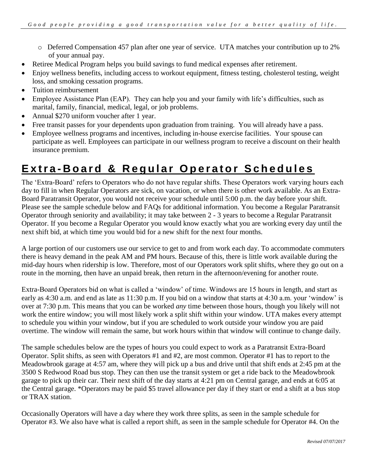- o Deferred Compensation 457 plan after one year of service. UTA matches your contribution up to 2% of your annual pay.
- Retiree Medical Program helps you build savings to fund medical expenses after retirement.
- Enjoy wellness benefits, including access to workout equipment, fitness testing, cholesterol testing, weight loss, and smoking cessation programs.
- Tuition reimbursement
- Employee Assistance Plan (EAP). They can help you and your family with life's difficulties, such as marital, family, financial, medical, legal, or job problems.
- Annual \$270 uniform voucher after 1 year.
- Free transit passes for your dependents upon graduation from training. You will already have a pass.
- Employee wellness programs and incentives, including in-house exercise facilities. Your spouse can participate as well. Employees can participate in our wellness program to receive a discount on their health insurance premium.

#### **Extra-Board & Regular Operator Schedules**

The 'Extra-Board' refers to Operators who do not have regular shifts. These Operators work varying hours each day to fill in when Regular Operators are sick, on vacation, or when there is other work available. As an Extra-Board Paratransit Operator, you would not receive your schedule until 5:00 p.m. the day before your shift. Please see the sample schedule below and FAQs for additional information. You become a Regular Paratransit Operator through seniority and availability; it may take between 2 - 3 years to become a Regular Paratransit Operator. If you become a Regular Operator you would know exactly what you are working every day until the next shift bid, at which time you would bid for a new shift for the next four months.

A large portion of our customers use our service to get to and from work each day. To accommodate commuters there is heavy demand in the peak AM and PM hours. Because of this, there is little work available during the mid-day hours when ridership is low. Therefore, most of our Operators work split shifts, where they go out on a route in the morning, then have an unpaid break, then return in the afternoon/evening for another route.

Extra-Board Operators bid on what is called a 'window' of time. Windows are 15 hours in length, and start as early as 4:30 a.m. and end as late as 11:30 p.m. If you bid on a window that starts at 4:30 a.m. your 'window' is over at 7:30 p.m. This means that you can be worked *any* time between those hours, though you likely will not work the entire window; you will most likely work a split shift within your window. UTA makes every attempt to schedule you within your window, but if you are scheduled to work outside your window you are paid overtime. The window will remain the same, but work hours within that window will continue to change daily.

The sample schedules below are the types of hours you could expect to work as a Paratransit Extra-Board Operator. Split shifts, as seen with Operators #1 and #2, are most common. Operator #1 has to report to the Meadowbrook garage at 4:57 am, where they will pick up a bus and drive until that shift ends at 2:45 pm at the 3500 S Redwood Road bus stop. They can then use the transit system or get a ride back to the Meadowbrook garage to pick up their car. Their next shift of the day starts at 4:21 pm on Central garage, and ends at 6:05 at the Central garage. \*Operators may be paid \$5 travel allowance per day if they start or end a shift at a bus stop or TRAX station.

Occasionally Operators will have a day where they work three splits, as seen in the sample schedule for Operator #3. We also have what is called a report shift, as seen in the sample schedule for Operator #4. On the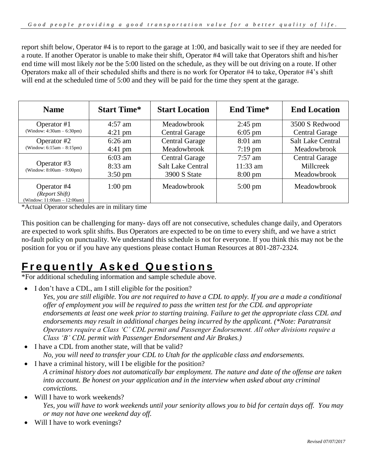report shift below, Operator #4 is to report to the garage at 1:00, and basically wait to see if they are needed for a route. If another Operator is unable to make their shift, Operator #4 will take that Operators shift and his/her end time will most likely *not* be the 5:00 listed on the schedule, as they will be out driving on a route. If other Operators make all of their scheduled shifts and there is no work for Operator #4 to take, Operator #4's shift will end at the scheduled time of 5:00 and they will be paid for the time they spent at the garage.

| <b>Name</b>                                                  | <b>Start Time*</b> | <b>Start Location</b>    | <b>End Time*</b>  | <b>End Location</b>      |
|--------------------------------------------------------------|--------------------|--------------------------|-------------------|--------------------------|
| Operator $#1$                                                | $4:57$ am          | Meadowbrook              | $2:45$ pm         | 3500 S Redwood           |
| (Window: $4:30am - 6:30pm$ )                                 | $4:21 \text{ pm}$  | <b>Central Garage</b>    | $6:05$ pm         | <b>Central Garage</b>    |
| Operator #2                                                  | $6:26$ am          | <b>Central Garage</b>    | $8:01$ am         | <b>Salt Lake Central</b> |
| (Window: $6:15am - 8:15pm$ )                                 | $4:41 \text{ pm}$  | Meadowbrook              | $7:19$ pm         | Meadowbrook              |
|                                                              | $6:03$ am          | <b>Central Garage</b>    | $7:57$ am         | <b>Central Garage</b>    |
| Operator #3<br>(Window: $8:00am - 9:00pm$ )                  | $8:33$ am          | <b>Salt Lake Central</b> | $11:33$ am        | Millcreek                |
|                                                              | $3:50 \text{ pm}$  | 3900 S State             | $8:00 \text{ pm}$ | Meadowbrook              |
| Operator #4<br>(Report Shift)<br>(Window: 11:00am - 12:00am) | $1:00 \text{ pm}$  | Meadowbrook              | $5:00 \text{ pm}$ | Meadowbrook              |

\*Actual Operator schedules are in military time

This position can be challenging for many- days off are not consecutive, schedules change daily, and Operators are expected to work split shifts. Bus Operators are expected to be on time to every shift, and we have a strict no-fault policy on punctuality. We understand this schedule is not for everyone. If you think this may not be the position for you or if you have any questions please contact Human Resources at 801-287-2324.

# **F r e q u e n t l y A s k e d Q u e s t i o n s**

\*For additional scheduling information and sample schedule above.

- I don't have a CDL, am I still eligible for the position?
	- *Yes, you are still eligible. You are not required to have a CDL to apply. If you are a made a conditional offer of employment you will be required to pass the written test for the CDL and appropriate endorsements at least one week prior to starting training. Failure to get the appropriate class CDL and endorsements may result in additional charges being incurred by the applicant. (\*Note: Paratransit Operators require a Class 'C' CDL permit and Passenger Endorsement. All other divisions require a Class 'B' CDL permit with Passenger Endorsement and Air Brakes.)*
- I have a CDL from another state, will that be valid? *No, you will need to transfer your CDL to Utah for the applicable class and endorsements.*
- I have a criminal history, will I be eligible for the position? *A criminal history does not automatically bar employment. The nature and date of the offense are taken into account. Be honest on your application and in the interview when asked about any criminal convictions.*
- Will I have to work weekends?

*Yes, you will have to work weekends until your seniority allows you to bid for certain days off. You may or may not have one weekend day off.*

• Will I have to work evenings?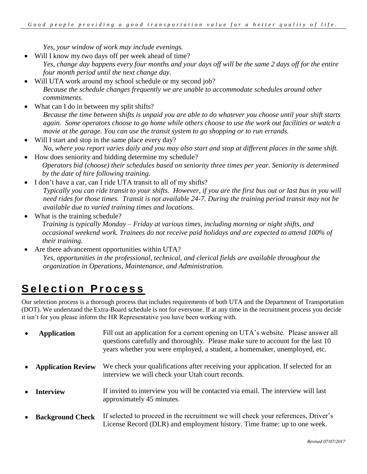*Yes, your window of work may include evenings.*

- Will I know my two days off per week ahead of time? *Yes, change day happens every four months and your days off will be the same 2 days off for the entire four month period until the next change day.*
- Will UTA work around my school schedule or my second job? *Because the schedule changes frequently we are unable to accommodate schedules around other commitments.*
- What can I do in between my split shifts? *Because the time between shifts is unpaid you are able to do whatever you choose until your shift starts again. Some operators choose to go home while others choose to use the work out facilities or watch a movie at the garage. You can use the transit system to go shopping or to run errands.*
- Will I start and stop in the same place every day? *No, where you report varies daily and you may also start and stop at different places in the same shift.*
- How does seniority and bidding determine my schedule?  *Operators bid (choose) their schedules based on seniority three times per year. Seniority is determined by the date of hire following training.*
- I don't have a car, can I ride UTA transit to all of my shifts? *Typically you can ride transit to your shifts. However, if you are the first bus out or last bus in you will need rides for those times. Transit is not available 24-7. During the training period transit may not be available due to varied training times and locations.*
- What is the training schedule?

 *Training is typically Monday – Friday at various times, including morning or night shifts, and occasional weekend work. Trainees do not receive paid holidays and are expected to attend 100% of their training.* 

 Are there advancement opportunities within UTA? *Yes, opportunities in the professional, technical, and clerical fields are available throughout the organization in Operations, Maintenance, and Administration.* 

# **Selection Process**

Our selection process is a thorough process that includes requirements of both UTA and the Department of Transportation (DOT). We understand the Extra-Board schedule is not for everyone. If at any time in the recruitment process you decide it isn't for you please inform the HR Representative you have been working with.

|           | <b>Application</b>        | Fill out an application for a current opening on UTA's website. Please answer all<br>questions carefully and thoroughly. Please make sure to account for the last 10<br>years whether you were employed, a student, a homemaker, unemployed, etc. |
|-----------|---------------------------|---------------------------------------------------------------------------------------------------------------------------------------------------------------------------------------------------------------------------------------------------|
|           | <b>Application Review</b> | We check your qualifications after receiving your application. If selected for an<br>interview we will check your Utah court records.                                                                                                             |
|           | <b>Interview</b>          | If invited to interview you will be contacted via email. The interview will last<br>approximately 45 minutes.                                                                                                                                     |
| $\bullet$ | <b>Background Check</b>   | If selected to proceed in the recruitment we will check your references, Driver's<br>License Record (DLR) and employment history. Time frame: up to one week.                                                                                     |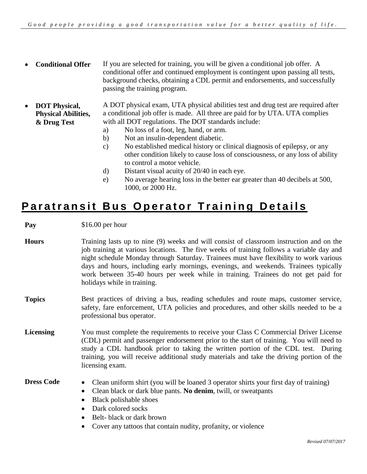- **Conditional Offer** If you are selected for training, you will be given a conditional job offer. A conditional offer and continued employment is contingent upon passing all tests, background checks, obtaining a CDL permit and endorsements, and successfully passing the training program.
- **DOT Physical, Physical Abilities, & Drug Test** A DOT physical exam, UTA physical abilities test and drug test are required after a conditional job offer is made. All three are paid for by UTA. UTA complies with all DOT regulations. The DOT standards include:
	- a) No loss of a foot, leg, hand, or arm.
	- b) Not an insulin-dependent diabetic.
	- c) No established medical history or clinical diagnosis of epilepsy, or any other condition likely to cause loss of consciousness, or any loss of ability to control a motor vehicle.
	- d) Distant visual acuity of 20/40 in each eye.
	- e) No average hearing loss in the better ear greater than 40 decibels at 500, 1000, or 2000 Hz.

#### **Paratransit Bus Operator Training Details**

**Pay** \$16.00 per hour

- **Hours** Training lasts up to nine (9) weeks and will consist of classroom instruction and on the job training at various locations. The five weeks of training follows a variable day and night schedule Monday through Saturday. Trainees must have flexibility to work various days and hours, including early mornings, evenings, and weekends. Trainees typically work between 35-40 hours per week while in training. Trainees do not get paid for holidays while in training.
- **Topics** Best practices of driving a bus, reading schedules and route maps, customer service, safety, fare enforcement, UTA policies and procedures, and other skills needed to be a professional bus operator.
- **Licensing** You must complete the requirements to receive your Class C Commercial Driver License (CDL) permit and passenger endorsement prior to the start of training. You will need to study a CDL handbook prior to taking the written portion of the CDL test. During training, you will receive additional study materials and take the driving portion of the licensing exam.

- **Dress Code** Clean uniform shirt (you will be loaned 3 operator shirts your first day of training)
	- Clean black or dark blue pants. **No denim**, twill, or sweatpants
	- Black polishable shoes
	- Dark colored socks
	- Belt- black or dark brown
	- Cover any tattoos that contain nudity, profanity, or violence